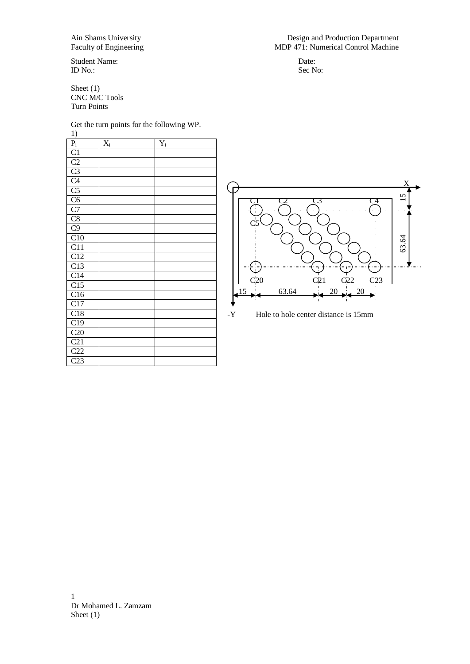Student Name:<br>
Date:<br>
Date:<br>
Date:<br>
Sec No: ID No.: Sec No:

Sheet (1) CNC M/C Tools Turn Points

Get the turn points for the following WP.

1)

| 1)                      |                      |       |
|-------------------------|----------------------|-------|
| $\mathbf{P}_\mathrm{i}$ | $\mathbf{\bar{X}}_i$ | $Y_i$ |
| C1                      |                      |       |
|                         |                      |       |
|                         |                      |       |
| $rac{C2}{C3}$           |                      |       |
| C <sub>5</sub>          |                      |       |
| C6                      |                      |       |
| C7                      |                      |       |
| $\overline{C8}$         |                      |       |
| C9                      |                      |       |
| C10                     |                      |       |
| $\overline{C1}1$        |                      |       |
| $\overline{C12}$        |                      |       |
| $\overline{C13}$        |                      |       |
| $\overline{C}14$        |                      |       |
| $\overline{C}$ 15       |                      |       |
| C16                     |                      |       |
| C17                     |                      |       |
| C18                     |                      |       |
| C19                     |                      |       |
| C20                     |                      |       |
| $\overline{C}21$        |                      |       |
| C22                     |                      |       |
| C23                     |                      |       |



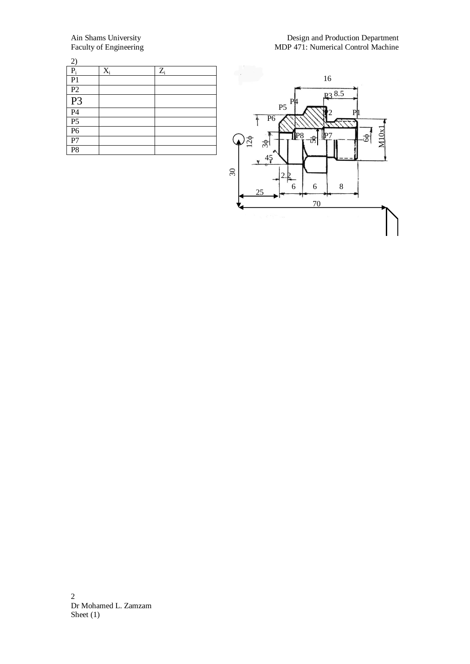| $\left( \frac{2}{2} \right)$          |       |       |  |
|---------------------------------------|-------|-------|--|
| $P_i$                                 | $X_i$ | $Z_i$ |  |
| P <sub>1</sub>                        |       |       |  |
| P2                                    |       |       |  |
| $\overline{P3}$                       |       |       |  |
|                                       |       |       |  |
| $\frac{\overline{P4}}{\overline{P5}}$ |       |       |  |
|                                       |       |       |  |
| P7                                    |       |       |  |
| $\overline{P8}$                       |       |       |  |



2 Dr Mohamed L. Zamzam Sheet  $(1)$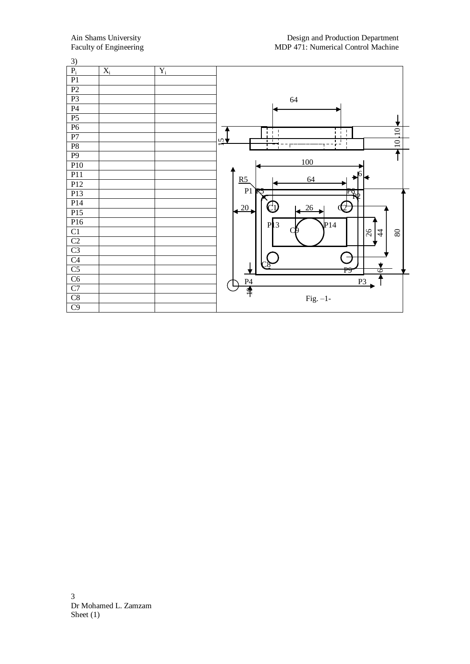| 3)              |                  |                       |                                                            |
|-----------------|------------------|-----------------------|------------------------------------------------------------|
| $P_i$           | $\overline{X_i}$ | $\mathbf{Y}_\text{i}$ |                                                            |
| P1              |                  |                       |                                                            |
| $\overline{P2}$ |                  |                       |                                                            |
| $\overline{P}$  |                  |                       | 64                                                         |
| P <sub>4</sub>  |                  |                       |                                                            |
| $\overline{P5}$ |                  |                       |                                                            |
| $\overline{P6}$ |                  |                       | $\overline{10}$<br>i i<br>-1<br>$\mathbf{I}$               |
| $\overline{P7}$ |                  |                       | $\mathbf{I}$<br>$\overline{2}$<br>$\overline{\phantom{0}}$ |
| P8              |                  |                       | $\overline{10}$<br>T                                       |
| $\overline{P9}$ |                  |                       |                                                            |
| P10             |                  |                       | 100                                                        |
| P11             |                  |                       | 16<br>64<br>ю<br>R5                                        |
| P12             |                  |                       |                                                            |
| P13             |                  |                       | P1<br>R<br>$\mathbb{F}_{\mathbb{R}^p}$                     |
| P14             |                  |                       | C1<br>20<br>26                                             |
| P15             |                  |                       |                                                            |
| P16             |                  |                       | P <sub>13</sub><br>P14                                     |
| $\overline{C1}$ |                  |                       | $ z _4$<br>$80\,$                                          |
| C <sub>2</sub>  |                  |                       |                                                            |
| C <sub>3</sub>  |                  |                       |                                                            |
| C <sub>4</sub>  |                  |                       |                                                            |
| C <sub>5</sub>  |                  |                       | ত<br>P9                                                    |
| C6              |                  |                       | P <sub>4</sub><br>P <sub>3</sub>                           |
| C7              |                  |                       | ₹                                                          |
| $\overline{C8}$ |                  |                       | Fig. $-1$ -                                                |
| C9              |                  |                       |                                                            |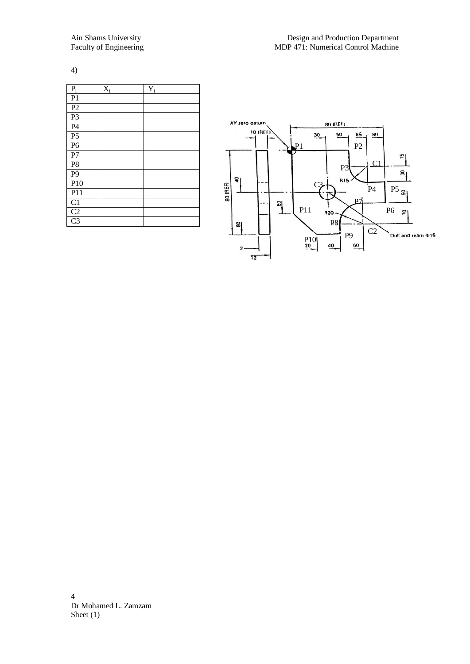4)

| $\mathbf{P}_\text{i}$ | $\mathbf{X}_i$ | $\mathbf{\bar{Y}}_i$ |
|-----------------------|----------------|----------------------|
| P1                    |                |                      |
| $\overline{P2}$       |                |                      |
| $\overline{P}$        |                |                      |
| $\overline{P4}$       |                |                      |
| P <sub>5</sub>        |                |                      |
| $\overline{P6}$       |                |                      |
| P7                    |                |                      |
| P <sub>8</sub>        |                |                      |
| P <sub>9</sub>        |                |                      |
| P10                   |                |                      |
| P11                   |                |                      |
| C1                    |                |                      |
| $\overline{C2}$       |                |                      |
| $\overline{C}3$       |                |                      |